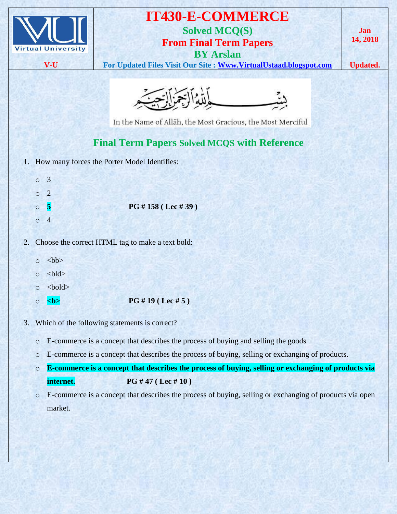|    |         | <b>Virtual University</b><br>V-U | <b>IT430-E-COMMERCE</b><br><b>Solved MCQ(S)</b><br><b>From Final Term Papers</b><br><b>BY Arslan</b><br>For Updated Files Visit Our Site : Www.VirtualUstaad.blogspot.com | Jan<br>14, 2018<br><b>Updated.</b> |
|----|---------|----------------------------------|---------------------------------------------------------------------------------------------------------------------------------------------------------------------------|------------------------------------|
|    |         |                                  | In the Name of Allāh, the Most Gracious, the Most Merciful                                                                                                                |                                    |
|    |         |                                  | <b>Final Term Papers Solved MCQS with Reference</b>                                                                                                                       |                                    |
| 1. |         |                                  | How many forces the Porter Model Identifies:                                                                                                                              |                                    |
|    | $\circ$ | $\overline{3}$                   |                                                                                                                                                                           |                                    |
|    | $\circ$ | $\overline{2}$                   |                                                                                                                                                                           |                                    |
|    | $\circ$ | $\vert$ 5                        | PG #158 (Lec #39)                                                                                                                                                         |                                    |
|    | $\circ$ | $\overline{4}$                   |                                                                                                                                                                           |                                    |
| 2. |         |                                  | Choose the correct HTML tag to make a text bold:                                                                                                                          |                                    |
|    | $\circ$ | <br><sub>cb</sub>                |                                                                                                                                                                           |                                    |
|    | $\circ$ | $right$                          |                                                                                                                                                                           |                                    |
|    | $\circ$ | $bold$                           |                                                                                                                                                                           |                                    |
|    | $\circ$ |                                  | PG #19 ( Lee #5)                                                                                                                                                          |                                    |
| 3. |         |                                  | Which of the following statements is correct?                                                                                                                             |                                    |
|    | $\circ$ |                                  | E-commerce is a concept that describes the process of buying and selling the goods                                                                                        |                                    |
|    | $\circ$ |                                  | E-commerce is a concept that describes the process of buying, selling or exchanging of products.                                                                          |                                    |
|    | $\circ$ |                                  | E-commerce is a concept that describes the process of buying, selling or exchanging of products via                                                                       |                                    |
|    |         | internet.                        | PG #47 (Lec #10)                                                                                                                                                          |                                    |
|    | $\circ$ |                                  | E-commerce is a concept that describes the process of buying, selling or exchanging of products via open                                                                  |                                    |
|    |         | market.                          |                                                                                                                                                                           |                                    |
|    |         |                                  |                                                                                                                                                                           |                                    |
|    |         |                                  |                                                                                                                                                                           |                                    |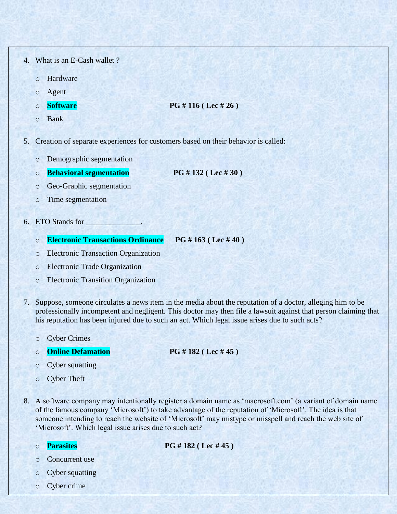- 4. What is an E-Cash wallet ?
	- o Hardware
	- o Agent
	-
	- o **Software PG # 116 ( Lec # 26 )**
	- o Bank
- 5. Creation of separate experiences for customers based on their behavior is called:
	- o Demographic segmentation
	- o **Behavioral segmentation PG # 132 ( Lec # 30 )**
	- o Geo-Graphic segmentation
	- o Time segmentation
- 6. ETO Stands for \_\_\_\_\_\_\_\_\_\_\_\_\_\_.
	- o **Electronic Transactions Ordinance PG # 163 ( Lec # 40 )**
	- o Electronic Transaction Organization
	- o Electronic Trade Organization
	- o Electronic Transition Organization
- 7. Suppose, someone circulates a news item in the media about the reputation of a doctor, alleging him to be professionally incompetent and negligent. This doctor may then file a lawsuit against that person claiming that his reputation has been injured due to such an act. Which legal issue arises due to such acts?
	- o Cyber Crimes
	- o **Online Defamation PG # 182 ( Lec # 45 )**
		-

- o Cyber squatting
- o Cyber Theft
- 8. A software company may intentionally register a domain name as "macrosoft.com" (a variant of domain name of the famous company "Microsoft") to take advantage of the reputation of "Microsoft". The idea is that someone intending to reach the website of "Microsoft" may mistype or misspell and reach the web site of 'Microsoft'. Which legal issue arises due to such act?
	-

o **Parasites PG # 182 ( Lec # 45 )**

- o Concurrent use
- o Cyber squatting
- o Cyber crime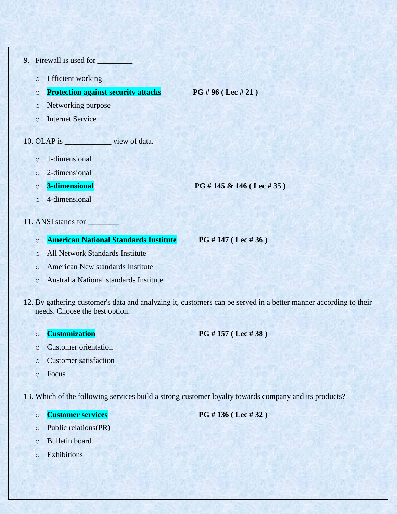- 9. Firewall is used for
	- o Efficient working
	- o **Protection against security attacks PG # 96 ( Lec # 21 )**

- o Networking purpose
- o Internet Service

## 10. OLAP is \_\_\_\_\_\_\_\_\_\_\_\_ view of data.

- o 1-dimensional
- o 2-dimensional
- 

o **3-dimensional PG # 145 & 146 ( Lec # 35 )**

- o 4-dimensional
- 11. ANSI stands for
	- o **American National Standards Institute PG # 147 ( Lec # 36 )**
		-
	- o All Network Standards Institute
	- o American New standards Institute
	- o Australia National standards Institute
- 12. By gathering customer's data and analyzing it, customers can be served in a better manner according to their needs. Choose the best option.
	- o **Customization PG # 157 ( Lec # 38 )**
	- o Customer orientation
	- o Customer satisfaction
	- o Focus

13. Which of the following services build a strong customer loyalty towards company and its products?

- 
- o Public relations(PR)
- o Bulletin board
- $\circ$  Exhibitions

o **Customer services PG # 136 ( Lec # 32 )**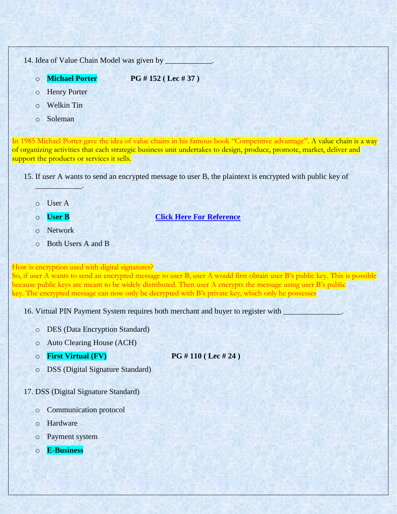14. Idea of Value Chain Model was given by

o **Michael Porter PG # 152 ( Lec # 37 )**

- o Henry Porter
- o Welkin Tin
- o Soleman

In 1985 Michael Porter gave the idea of value chains in his famous book "Competitive advantage". A value chain is a way of organizing activities that each strategic business unit undertakes to design, produce, promote, market, deliver and support the products or services it sells.

15. If user A wants to send an encrypted message to user B, the plaintext is encrypted with public key of

o User A

 $\frac{1}{2}$ 

- o **User B [Click Here For Reference](http://www.cren.net/crenca/onepagers/guidebook/sectionthree.html#pgp)**
- o Network
- o Both Users A and B

How is encryption used with digital signatures?

So, if user A wants to send an encrypted message to user B, user A would first obtain user B's public key. This is possible because public keys are meant to be widely distributed. Then user A encrypts the message using user B's public key. The encrypted message can now only be decrypted with B's private key, which only he possesses

16. Virtual PIN Payment System requires both merchant and buyer to register with \_\_\_\_\_\_

- o DES (Data Encryption Standard)
- o Auto Clearing House (ACH)
- o **First Virtual (FV) PG # 110 ( Lec # 24 )**

o DSS (Digital Signature Standard)

## 17. DSS (Digital Signature Standard)

- o Communication protocol
- o Hardware
- o Payment system
- o **E-Business**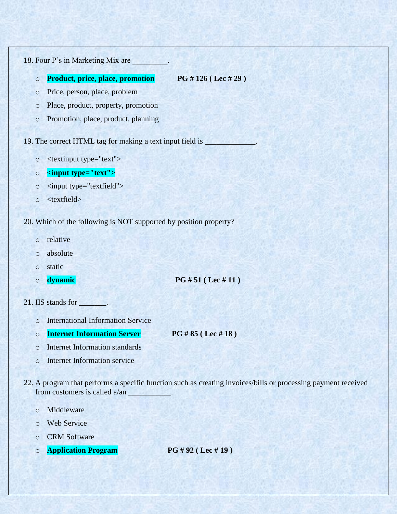18. Four P's in Marketing Mix are

o **Product, price, place, promotion PG # 126 ( Lec # 29 )**

- o Price, person, place, problem
- o Place, product, property, promotion
- o Promotion, place, product, planning

19. The correct HTML tag for making a text input field is \_\_\_\_\_\_\_\_\_\_\_\_\_\_\_.

- o <textinput type="text">
- o **<input type="text">**
- o <input type="textfield">
- o <textfield>
- 20. Which of the following is NOT supported by position property?
	- o relative
	- o absolute
	- o static
	-

o **dynamic PG # 51 ( Lec # 11 )**

- 21. IIS stands for \_\_\_\_\_\_\_.
	- o International Information Service
	- o **Internet Information Server PG # 85 ( Lec # 18 )**

- o Internet Information standards
- o Internet Information service
- 22. A program that performs a specific function such as creating invoices/bills or processing payment received from customers is called a/an \_\_\_\_\_\_\_\_\_\_\_.
	- o Middleware
	- o Web Service
	- o CRM Software
	- o **Application Program PG # 92 ( Lec # 19 )**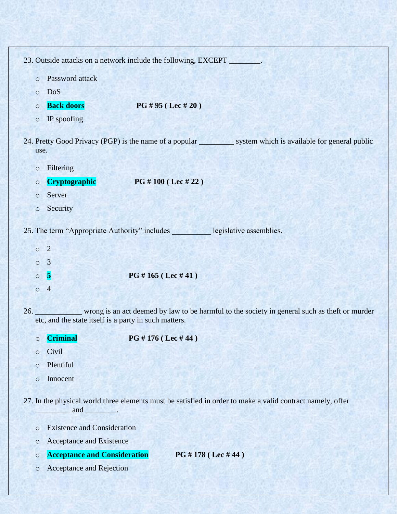|         |                                                       | 23. Outside attacks on a network include the following, EXCEPT _______. |                                                                                                                 |
|---------|-------------------------------------------------------|-------------------------------------------------------------------------|-----------------------------------------------------------------------------------------------------------------|
| $\circ$ | Password attack                                       |                                                                         |                                                                                                                 |
| $\circ$ | DoS                                                   |                                                                         |                                                                                                                 |
| $\circ$ | <b>Back doors</b>                                     | PG # 95 ( Lee # 20)                                                     |                                                                                                                 |
| $\circ$ | IP spoofing                                           |                                                                         |                                                                                                                 |
|         | use.                                                  |                                                                         | 24. Pretty Good Privacy (PGP) is the name of a popular system which is available for general public             |
| $\circ$ | Filtering                                             |                                                                         |                                                                                                                 |
| $\circ$ | <b>Cryptographic</b>                                  | PG # 100 (Lec # 22)                                                     |                                                                                                                 |
| $\circ$ | Server                                                |                                                                         |                                                                                                                 |
| $\circ$ | Security                                              |                                                                         |                                                                                                                 |
|         |                                                       | 25. The term "Appropriate Authority" includes legislative assemblies.   |                                                                                                                 |
|         | $\circ$ 2                                             |                                                                         |                                                                                                                 |
| $\circ$ | $\overline{3}$                                        |                                                                         |                                                                                                                 |
|         | $\overline{\mathbf{5}}$<br>$\circ$                    | PG # 165 (Lec # 41)                                                     |                                                                                                                 |
|         | $0\quad 4$                                            |                                                                         |                                                                                                                 |
|         | etc, and the state itself is a party in such matters. |                                                                         | 26. _____________ wrong is an act deemed by law to be harmful to the society in general such as theft or murder |
| O       | <b>Criminal</b>                                       | PG # 176 (Lec # 44)                                                     |                                                                                                                 |
| $\circ$ | Civil                                                 |                                                                         |                                                                                                                 |
| $\circ$ | Plentiful                                             |                                                                         |                                                                                                                 |
| $\circ$ | Innocent                                              |                                                                         |                                                                                                                 |
|         | and $\qquad$ .                                        |                                                                         | 27. In the physical world three elements must be satisfied in order to make a valid contract namely, offer      |
| $\circ$ | <b>Existence and Consideration</b>                    |                                                                         |                                                                                                                 |
| O       | Acceptance and Existence                              |                                                                         |                                                                                                                 |
| $\circ$ | <b>Acceptance and Consideration</b>                   |                                                                         | PG #178 (Lec #44)                                                                                               |
| $\circ$ | Acceptance and Rejection                              |                                                                         |                                                                                                                 |
|         |                                                       |                                                                         |                                                                                                                 |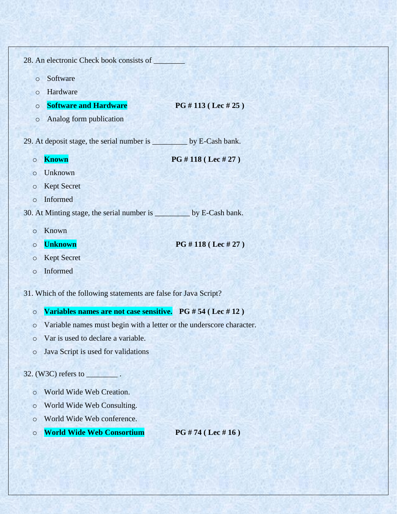|                    |         | 28. An electronic Check book consists of                                |
|--------------------|---------|-------------------------------------------------------------------------|
|                    | $\circ$ | Software                                                                |
|                    | O       | Hardware                                                                |
|                    | $\circ$ | <b>Software and Hardware</b><br>PG # 113 ( Lee # 25)                    |
|                    | $\circ$ | Analog form publication                                                 |
|                    |         |                                                                         |
|                    |         | 29. At deposit stage, the serial number is ____________ by E-Cash bank. |
| $\circ$            |         | <b>Known</b><br>PG #118 (Lec #27)                                       |
| $\circ$            |         | Unknown                                                                 |
| O                  |         | <b>Kept Secret</b>                                                      |
|                    | $\circ$ | Informed                                                                |
|                    |         | 30. At Minting stage, the serial number is __________ by E-Cash bank.   |
|                    | $\circ$ | Known                                                                   |
| $\circ$            |         | PG #118 (Lec #27)<br><b>Unknown</b>                                     |
| O                  |         | <b>Kept Secret</b>                                                      |
| $\circ$            |         | Informed                                                                |
|                    |         | 31. Which of the following statements are false for Java Script?        |
|                    |         | Variables names are not case sensitive. PG #54 (Lec #12)                |
| $\circ$<br>$\circ$ |         | Variable names must begin with a letter or the underscore character.    |
|                    | $\circ$ | Var is used to declare a variable.                                      |
| $\circ$            |         | Java Script is used for validations                                     |
|                    |         |                                                                         |
|                    |         | 32. (W3C) refers to<br>an Pilipina                                      |
| O                  |         | World Wide Web Creation.                                                |
| $\circ$            |         | World Wide Web Consulting.                                              |
| O                  |         | World Wide Web conference.                                              |
| O                  |         | <b>World Wide Web Consortium</b><br>PG # 74 ( Lee # 16)                 |
|                    |         |                                                                         |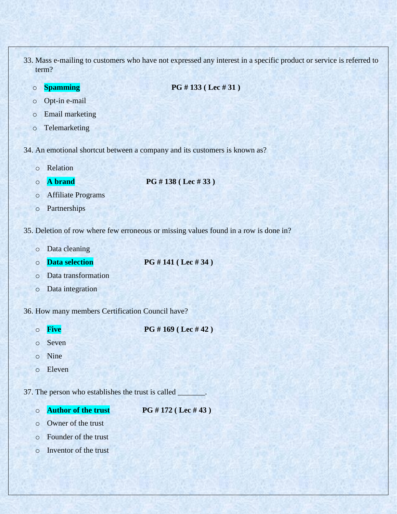- 33. Mass e-mailing to customers who have not expressed any interest in a specific product or service is referred to term?
	-

o **Spamming PG # 133 ( Lec # 31 )**

- o Opt-in e-mail
- o Email marketing
- o Telemarketing
- 34. An emotional shortcut between a company and its customers is known as?
	- o Relation
	-

o **A brand PG # 138 ( Lec # 33 )**

- o Affiliate Programs
- o Partnerships
- 35. Deletion of row where few erroneous or missing values found in a row is done in?
	- o Data cleaning
	-

o **Data selection PG # 141 ( Lec # 34 )**

- o Data transformation
- o Data integration
- 36. How many members Certification Council have?
	-

o **Five PG # 169 ( Lec # 42 )**

- o Seven
- o Nine
- o Eleven

37. The person who establishes the trust is called

- o **Author of the trust PG # 172 ( Lec # 43 )**
- o Owner of the trust
- o Founder of the trust
- o Inventor of the trust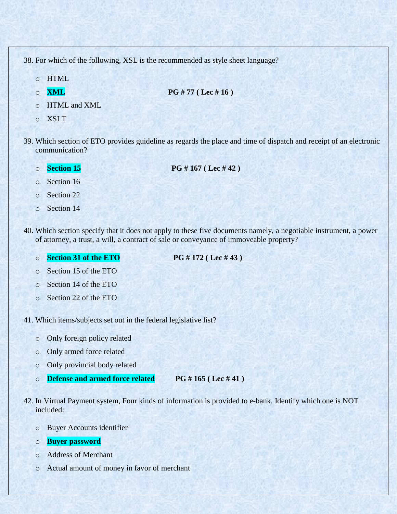38. For which of the following, XSL is the recommended as style sheet language?

- o HTML
- 
- o **XML PG # 77 ( Lec # 16 )**
- o HTML and XML
- o XSLT
- 39. Which section of ETO provides guideline as regards the place and time of dispatch and receipt of an electronic communication?
	-
	- o **Section 15 PG # 167 ( Lec # 42 )**
	- o Section 16
	- o Section 22
	- o Section 14
- 40. Which section specify that it does not apply to these five documents namely, a negotiable instrument, a power of attorney, a trust, a will, a contract of sale or conveyance of immoveable property?
	- o **Section 31 of the ETO PG # 172 ( Lec # 43 )**

- o Section 15 of the ETO
- o Section 14 of the ETO
- o Section 22 of the ETO

41. Which items/subjects set out in the federal legislative list?

- o Only foreign policy related
- o Only armed force related
- o Only provincial body related
- o **Defense and armed force related PG # 165 ( Lec # 41 )**
- 42. In Virtual Payment system, Four kinds of information is provided to e-bank. Identify which one is NOT included:
	- o Buyer Accounts identifier
	- o **Buyer password**
	- o Address of Merchant
	- o Actual amount of money in favor of merchant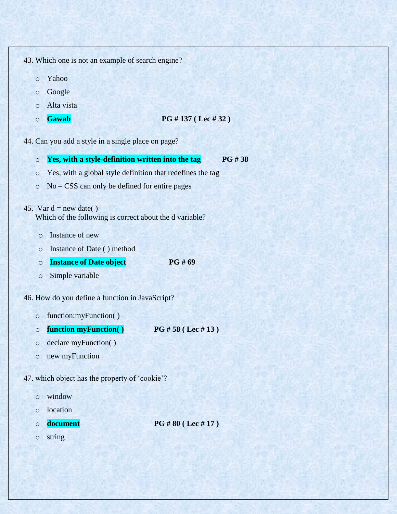43. Which one is not an example of search engine?

- o Yahoo
- o Google
- o Alta vista
- 

## o **Gawab PG # 137 ( Lec # 32 )**

44. Can you add a style in a single place on page?

- o **Yes, with a style-definition written into the tag PG # 38**
- o Yes, with a global style definition that redefines the tag
- o No CSS can only be defined for entire pages
- 45. Var d = new date()

Which of the following is correct about the d variable?

- o Instance of new
- o Instance of Date ( ) method
- o **Instance of Date object PG # 69**
- o Simple variable

## 46. How do you define a function in JavaScript?

- o function:myFunction( )
- o **function myFunction( ) PG # 58 ( Lec # 13 )**
- o declare myFunction( )
- o new myFunction

47. which object has the property of "cookie"?

- o window
- o location
- 

o **document PG # 80 ( Lec # 17 )**

o string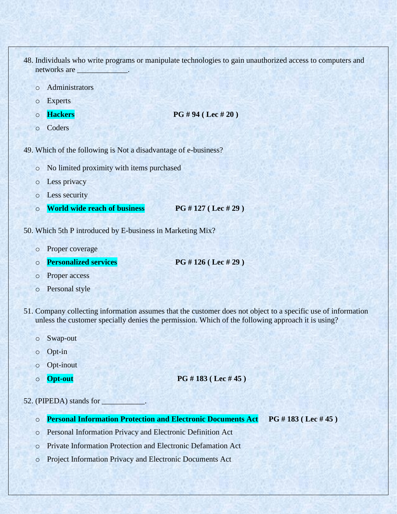- 48. Individuals who write programs or manipulate technologies to gain unauthorized access to computers and networks are
	- o Administrators
	- o Experts
	-
	- o **Hackers PG # 94 ( Lec # 20 )**
	- o Coders

49. Which of the following is Not a disadvantage of e-business?

- o No limited proximity with items purchased
- o Less privacy
- o Less security
- o **World wide reach of business PG # 127 ( Lec # 29 )**
- 50. Which 5th P introduced by E-business in Marketing Mix?
	- o Proper coverage
	- o **Personalized services PG # 126 ( Lec # 29 )**
	- o Proper access
	- o Personal style
- 51. Company collecting information assumes that the customer does not object to a specific use of information unless the customer specially denies the permission. Which of the following approach it is using?
	- o Swap-out
	- o Opt-in
	- o Opt-inout
	-

```
o Opt-out PG # 183 ( Lec # 45 )
```
52. (PIPEDA) stands for

- o **Personal Information Protection and Electronic Documents Act PG # 183 ( Lec # 45 )**
- o Personal Information Privacy and Electronic Definition Act
- o Private Information Protection and Electronic Defamation Act
- o Project Information Privacy and Electronic Documents Act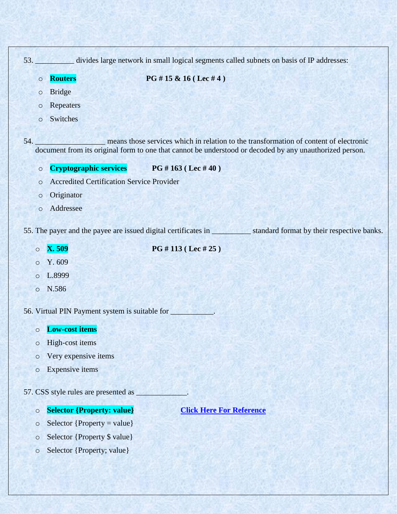|         | 53. divides large network in small logical segments called subnets on basis of IP addresses:                                                                                                     |
|---------|--------------------------------------------------------------------------------------------------------------------------------------------------------------------------------------------------|
| $\circ$ | PG # 15 & 16 (Lec # 4)<br><b>Routers</b>                                                                                                                                                         |
| $\circ$ | <b>Bridge</b>                                                                                                                                                                                    |
| $\circ$ | Repeaters                                                                                                                                                                                        |
| $\circ$ | Switches                                                                                                                                                                                         |
| 54.     | means those services which in relation to the transformation of content of electronic<br>document from its original form to one that cannot be understood or decoded by any unauthorized person. |
| $\circ$ | Cryptographic services PG #163 (Lec #40)                                                                                                                                                         |
| $\circ$ | <b>Accredited Certification Service Provider</b>                                                                                                                                                 |
| $\circ$ | Originator                                                                                                                                                                                       |
| $\circ$ | Addressee                                                                                                                                                                                        |
|         |                                                                                                                                                                                                  |
| $\circ$ | <b>X.509</b><br>PG #113 (Lec #25)                                                                                                                                                                |
| $\circ$ | Y. 609                                                                                                                                                                                           |
| $\circ$ | L.8999                                                                                                                                                                                           |
| $\circ$ | N.586                                                                                                                                                                                            |
|         | 56. Virtual PIN Payment system is suitable for                                                                                                                                                   |
| $\circ$ | <b>Low-cost items</b>                                                                                                                                                                            |
| $\circ$ | High-cost items                                                                                                                                                                                  |
| $\circ$ | Very expensive items                                                                                                                                                                             |
| $\circ$ | <b>Expensive</b> items                                                                                                                                                                           |
|         | 57. CSS style rules are presented as                                                                                                                                                             |
| $\circ$ | <b>Selector {Property: value}</b><br><b>Click Here For Reference</b>                                                                                                                             |
| $\circ$ | Selector { $Property = value$ }                                                                                                                                                                  |
| $\circ$ | Selector {Property \$ value}                                                                                                                                                                     |

o Selector {Property; value}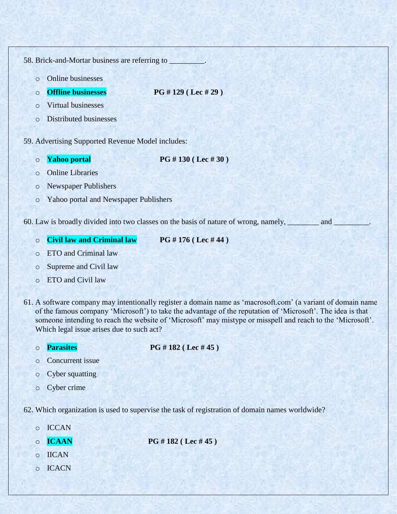58. Brick-and-Mortar business are referring to

- o Online businesses
- o **Offline businesses PG # 129 ( Lec # 29 )**
- o Virtual businesses
- o Distributed businesses
- 59. Advertising Supported Revenue Model includes:
	-

o **Yahoo portal PG # 130 ( Lec # 30 )**

- o Online Libraries
- o Newspaper Publishers
- o Yahoo portal and Newspaper Publishers

60. Law is broadly divided into two classes on the basis of nature of wrong, namely, \_\_\_\_\_\_\_\_\_\_ and \_

o **Civil law and Criminal law PG # 176 ( Lec # 44 )**

- o ETO and Criminal law
- o Supreme and Civil law
- o ETO and Civil law
- 61. A software company may intentionally register a domain name as "macrosoft.com" (a variant of domain name of the famous company "Microsoft") to take the advantage of the reputation of "Microsoft". The idea is that someone intending to reach the website of 'Microsoft' may mistype or misspell and reach to the 'Microsoft'. Which legal issue arises due to such act?

o **Parasites PG # 182 ( Lec # 45 )**

- o Concurrent issue
- o Cyber squatting
- o Cyber crime

62. Which organization is used to supervise the task of registration of domain names worldwide?

- o ICCAN
- 

o **ICAAN PG # 182 ( Lec # 45 )**

- o IICAN
- o ICACN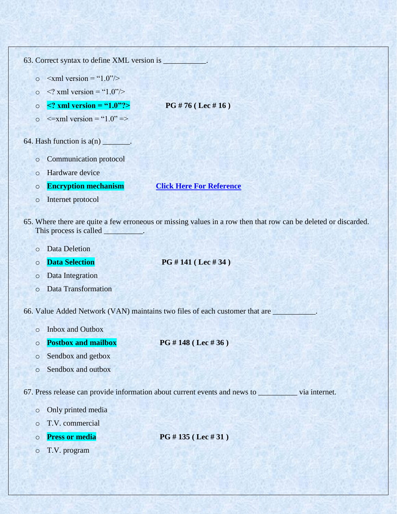|         | 63. Correct syntax to define XML version is __________. |                                                                                                                 |  |  |
|---------|---------------------------------------------------------|-----------------------------------------------------------------------------------------------------------------|--|--|
| $\circ$ | $\le$ xml version = "1.0"/>                             |                                                                                                                 |  |  |
| $\circ$ | $\leq$ ? xml version = "1.0"/>                          |                                                                                                                 |  |  |
| $\circ$ | $\leq$ ? xml version = "1.0"?>                          | PG # 76 ( Lee # 16)                                                                                             |  |  |
| $\circ$ | $\le$ = xml version = "1.0" = >                         |                                                                                                                 |  |  |
|         | 64. Hash function is $a(n)$ _______.                    |                                                                                                                 |  |  |
| $\circ$ | Communication protocol                                  |                                                                                                                 |  |  |
| $\circ$ | Hardware device                                         |                                                                                                                 |  |  |
| $\circ$ | <b>Encryption mechanism</b>                             | <b>Click Here For Reference</b>                                                                                 |  |  |
| $\circ$ | Internet protocol                                       |                                                                                                                 |  |  |
|         | This process is called __________.                      | 65. Where there are quite a few erroneous or missing values in a row then that row can be deleted or discarded. |  |  |
| $\circ$ | <b>Data Deletion</b>                                    |                                                                                                                 |  |  |
|         |                                                         |                                                                                                                 |  |  |
| $\circ$ | <b>Data Selection</b>                                   | PG # 141 ( Lee # 34)                                                                                            |  |  |
| $\circ$ | Data Integration                                        |                                                                                                                 |  |  |
| $\circ$ | Data Transformation                                     |                                                                                                                 |  |  |
|         |                                                         | 66. Value Added Network (VAN) maintains two files of each customer that are ___________.                        |  |  |
| O       | Inbox and Outbox                                        |                                                                                                                 |  |  |
| $\circ$ | <b>Postbox and mailbox</b>                              | PG #148 (Lec #36)                                                                                               |  |  |
| $\circ$ | Sendbox and getbox                                      |                                                                                                                 |  |  |
| $\circ$ | Sendbox and outbox                                      |                                                                                                                 |  |  |
|         |                                                         | 67. Press release can provide information about current events and news to wia internet.                        |  |  |
| $\circ$ | Only printed media                                      |                                                                                                                 |  |  |
| $\circ$ | T.V. commercial                                         |                                                                                                                 |  |  |
| $\circ$ | <b>Press or media</b>                                   | PG #135 (Lec #31)                                                                                               |  |  |
| $\circ$ | T.V. program                                            |                                                                                                                 |  |  |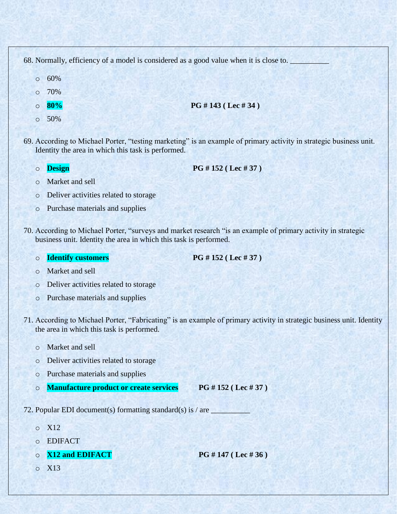| 68. Normally, efficiency of a model is considered as a good value when it is close to. |                                                    |                                                                                                                    |  |
|----------------------------------------------------------------------------------------|----------------------------------------------------|--------------------------------------------------------------------------------------------------------------------|--|
| $\circ$                                                                                | 60%                                                |                                                                                                                    |  |
| $\circ$                                                                                | 70%                                                |                                                                                                                    |  |
| $\circ$                                                                                | 80%                                                | PG # 143 ( Lee # 34)                                                                                               |  |
| $\circ$                                                                                | 50%                                                |                                                                                                                    |  |
|                                                                                        | Identity the area in which this task is performed. | 69. According to Michael Porter, "testing marketing" is an example of primary activity in strategic business unit. |  |
|                                                                                        | Jesion                                             | PG # 152 ( Lee # 37)                                                                                               |  |

- o Market and sell
- o Deliver activities related to storage
- o Purchase materials and supplies
- 70. According to Michael Porter, "surveys and market research "is an example of primary activity in strategic business unit. Identity the area in which this task is performed.
	- o **Identify customers PG # 152 ( Lec # 37 )**

- o Market and sell
- o Deliver activities related to storage
- o Purchase materials and supplies
- 71. According to Michael Porter, "Fabricating" is an example of primary activity in strategic business unit. Identity the area in which this task is performed.
	- o Market and sell
	- o Deliver activities related to storage
	- o Purchase materials and supplies
	- o **Manufacture product or create services PG # 152 ( Lec # 37 )**
- 72. Popular EDI document(s) formatting standard(s) is  $/$  are  $\overline{a}$ 
	- o X12
	- o EDIFACT
	- o **X12 and EDIFACT PG # 147 ( Lec # 36 )**

o X13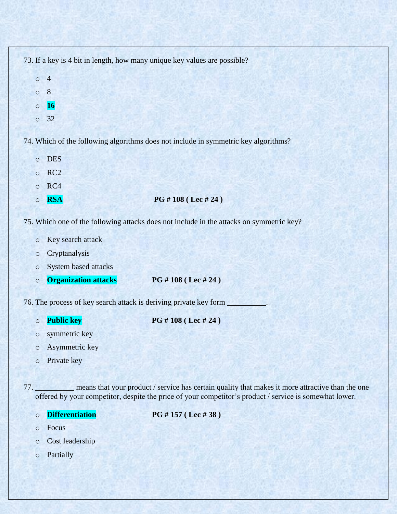| 73. If a key is 4 bit in length, how many unique key values are possible?           |
|-------------------------------------------------------------------------------------|
| $\overline{4}$<br>$\circ$                                                           |
| 8<br>$\circ$                                                                        |
| 16<br>$\circ$                                                                       |
| $\circ$ 32                                                                          |
|                                                                                     |
| 74. Which of the following algorithms does not include in symmetric key algorithms? |
| <b>DES</b><br>$\circ$                                                               |
| RC2<br>$\circ$                                                                      |

- o RC4
- o **RSA PG # 108 ( Lec # 24 )**
- 75. Which one of the following attacks does not include in the attacks on symmetric key?
	- o Key search attack
	- o Cryptanalysis
	- o System based attacks
	- o **Organization attacks PG # 108 ( Lec # 24 )**
- 76. The process of key search attack is deriving private key form
	- o **Public key PG # 108 ( Lec # 24 )**
	- o symmetric key
		-
	- o Asymmetric key
	- o Private key
- 77. \_\_\_\_\_\_\_\_\_\_ means that your product / service has certain quality that makes it more attractive than the one offered by your competitor, despite the price of your competitor's product / service is somewhat lower.
	-

o **Differentiation PG # 157 ( Lec # 38 )**

- o Focus
- o Cost leadership
- o Partially